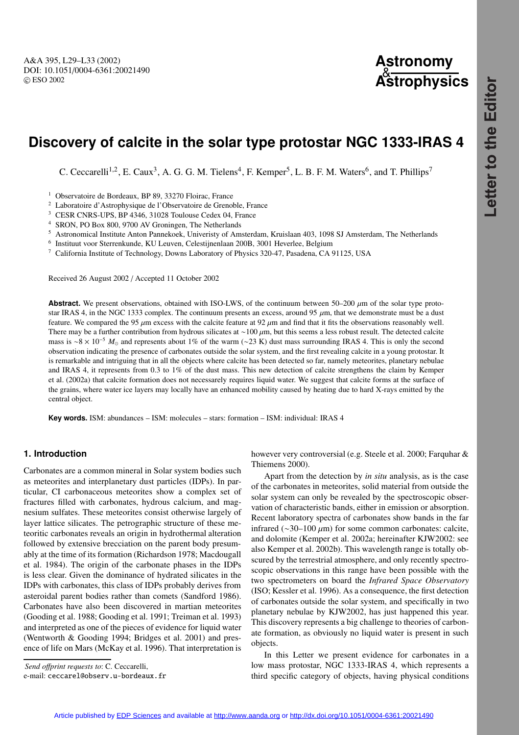# **Astronomy** & **Astrophysics**

# **Discovery of calcite in the solar type protostar NGC 1333-IRAS 4**

C. Ceccarelli<sup>1,2</sup>, E. Caux<sup>3</sup>, A. G. G. M. Tielens<sup>4</sup>, F. Kemper<sup>5</sup>, L. B. F. M. Waters<sup>6</sup>, and T. Phillips<sup>7</sup>

<sup>1</sup> Observatoire de Bordeaux, BP 89, 33270 Floirac, France

<sup>2</sup> Laboratoire d'Astrophysique de l'Observatoire de Grenoble, France

<sup>3</sup> CESR CNRS-UPS, BP 4346, 31028 Toulouse Cedex 04, France

<sup>4</sup> SRON, PO Box 800, 9700 AV Groningen, The Netherlands

<sup>5</sup> Astronomical Institute Anton Pannekoek, Univeristy of Amsterdam, Kruislaan 403, 1098 SJ Amsterdam, The Netherlands

<sup>6</sup> Instituut voor Sterrenkunde, KU Leuven, Celestijnenlaan 200B, 3001 Heverlee, Belgium

<sup>7</sup> California Institute of Technology, Downs Laboratory of Physics 320-47, Pasadena, CA 91125, USA

Received 26 August 2002 / Accepted 11 October 2002

**Abstract.** We present observations, obtained with ISO-LWS, of the continuum between  $50-200 \mu m$  of the solar type protostar IRAS 4, in the NGC 1333 complex. The continuum presents an excess, around 95  $\mu$ m, that we demonstrate must be a dust feature. We compared the 95  $\mu$ m excess with the calcite feature at 92  $\mu$ m and find that it fits the observations reasonably well. There may be a further contribution from hydrous silicates at ~100 μm, but this seems a less robust result. The detected calcite mass is ~8 × 10<sup>-5</sup>  $M_{\odot}$  and represents about 1% of the warm (∼23 K) dust mass surrounding IRAS 4. This is only the second observation indicating the presence of carbonates outside the solar system, and the first revealing calcite in a young protostar. It is remarkable and intriguing that in all the objects where calcite has been detected so far, namely meteorites, planetary nebulae and IRAS 4, it represents from 0.3 to 1% of the dust mass. This new detection of calcite strengthens the claim by Kemper et al. (2002a) that calcite formation does not necessarely requires liquid water. We suggest that calcite forms at the surface of the grains, where water ice layers may locally have an enhanced mobility caused by heating due to hard X-rays emitted by the central object.

**Key words.** ISM: abundances – ISM: molecules – stars: formation – ISM: individual: IRAS 4

## **1. Introduction**

Carbonates are a common mineral in Solar system bodies such as meteorites and interplanetary dust particles (IDPs). In particular, CI carbonaceous meteorites show a complex set of fractures filled with carbonates, hydrous calcium, and magnesium sulfates. These meteorites consist otherwise largely of layer lattice silicates. The petrographic structure of these meteoritic carbonates reveals an origin in hydrothermal alteration followed by extensive brecciation on the parent body presumably at the time of its formation (Richardson 1978; Macdougall et al. 1984). The origin of the carbonate phases in the IDPs is less clear. Given the dominance of hydrated silicates in the IDPs with carbonates, this class of IDPs probably derives from asteroidal parent bodies rather than comets (Sandford 1986). Carbonates have also been discovered in martian meteorites (Gooding et al. 1988; Gooding et al. 1991; Treiman et al. 1993) and interpreted as one of the pieces of evidence for liquid water (Wentworth & Gooding 1994; Bridges et al. 2001) and presence of life on Mars (McKay et al. 1996). That interpretation is

*Send o*ff*print requests to*: C. Ceccarelli, e-mail: ceccarel@observ.u-bordeaux.fr however very controversial (e.g. Steele et al. 2000; Farquhar & Thiemens 2000).

Apart from the detection by *in situ* analysis, as is the case of the carbonates in meteorites, solid material from outside the solar system can only be revealed by the spectroscopic observation of characteristic bands, either in emission or absorption. Recent laboratory spectra of carbonates show bands in the far infrared (∼30–100 µm) for some common carbonates: calcite, and dolomite (Kemper et al. 2002a; hereinafter KJW2002: see also Kemper et al. 2002b). This wavelength range is totally obscured by the terrestrial atmosphere, and only recently spectroscopic observations in this range have been possible with the two spectrometers on board the *Infrared Space Observatory* (ISO; Kessler et al. 1996). As a consequence, the first detection of carbonates outside the solar system, and specifically in two planetary nebulae by KJW2002, has just happened this year. This discovery represents a big challenge to theories of carbonate formation, as obviously no liquid water is present in such objects.

In this Letter we present evidence for carbonates in a low mass protostar, NGC 1333-IRAS 4, which represents a third specific category of objects, having physical conditions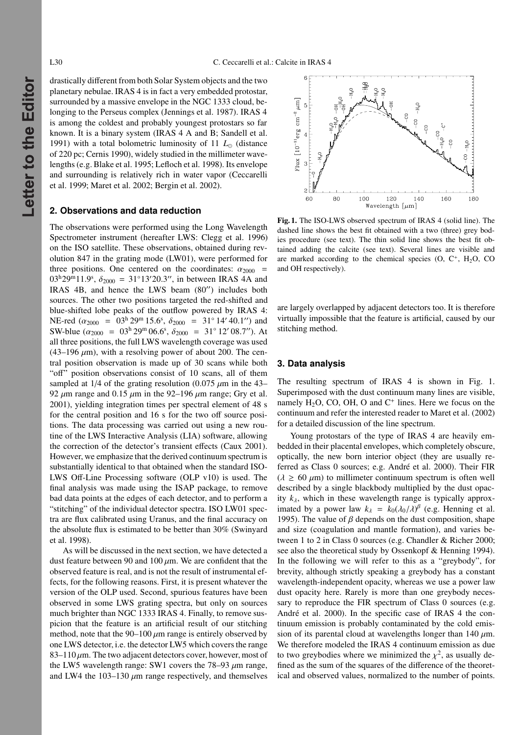drastically different from both Solar System objects and the two planetary nebulae. IRAS 4 is in fact a very embedded protostar, surrounded by a massive envelope in the NGC 1333 cloud, belonging to the Perseus complex (Jennings et al. 1987). IRAS 4 is among the coldest and probably youngest protostars so far known. It is a binary system (IRAS 4 A and B; Sandell et al. 1991) with a total bolometric luminosity of 11  $L_{\odot}$  (distance of 220 pc; Cernis 1990), widely studied in the millimeter wavelengths (e.g. Blake et al. 1995; Lefloch et al. 1998). Its envelope and surrounding is relatively rich in water vapor (Ceccarelli et al. 1999; Maret et al. 2002; Bergin et al. 2002).

#### **2. Observations and data reduction**

The observations were performed using the Long Wavelength Spectrometer instrument (hereafter LWS: Clegg et al. 1996) on the ISO satellite. These observations, obtained during revolution 847 in the grating mode (LW01), were performed for three positions. One centered on the coordinates:  $\alpha_{2000}$  =  $03^h29^m11.9^s$ ,  $\delta_{2000} = 31^\circ13'20.3''$ , in between IRAS 4A and IRAS  $4B$ , and hence the LWS beam  $(80'')$  includes both sources. The other two positions targeted the red-shifted and blue-shifted lobe peaks of the outflow powered by IRAS 4: NE-red ( $\alpha_{2000}$  = 03<sup>h</sup> 29<sup>m</sup> 15.6<sup>s</sup>,  $\delta_{2000}$  = 31<sup>°</sup> 14′ 40.1″) and SW-blue  $(\alpha_{2000} = 03^{\text{h}} 29^{\text{m}} 06.6^{\text{s}}, \delta_{2000} = 31^{\circ} 12' 08.7'')$ . At all three positions, the full LWS wavelength coverage was used  $(43-196 \mu m)$ , with a resolving power of about 200. The central position observation is made up of 30 scans while both "off" position observations consist of 10 scans, all of them sampled at 1/4 of the grating resolution (0.075  $\mu$ m in the 43– 92  $\mu$ m range and 0.15  $\mu$ m in the 92–196  $\mu$ m range; Gry et al. 2001), yielding integration times per spectral element of 48 s for the central position and 16 s for the two off source positions. The data processing was carried out using a new routine of the LWS Interactive Analysis (LIA) software, allowing the correction of the detector's transient effects (Caux 2001). However, we emphasize that the derived continuum spectrum is substantially identical to that obtained when the standard ISO-LWS Off-Line Processing software (OLP v10) is used. The final analysis was made using the ISAP package, to remove bad data points at the edges of each detector, and to perform a "stitching" of the individual detector spectra. ISO LW01 spectra are flux calibrated using Uranus, and the final accuracy on the absolute flux is estimated to be better than 30% (Swinyard et al. 1998).

As will be discussed in the next section, we have detected a dust feature between 90 and 100  $\mu$ m. We are confident that the observed feature is real, and is not the result of instrumental effects, for the following reasons. First, it is present whatever the version of the OLP used. Second, spurious features have been observed in some LWS grating spectra, but only on sources much brighter than NGC 1333 IRAS 4. Finally, to remove suspicion that the feature is an artificial result of our stitching method, note that the  $90-100 \mu m$  range is entirely observed by one LWS detector, i.e. the detector LW5 which covers the range 83–110  $\mu$ m. The two adjacent detectors cover, however, most of the LW5 wavelength range: SW1 covers the  $78-93 \mu m$  range, and LW4 the  $103-130 \mu m$  range respectively, and themselves



Fig. 1. The ISO-LWS observed spectrum of IRAS 4 (solid line). The dashed line shows the best fit obtained with a two (three) grey bodies procedure (see text). The thin solid line shows the best fit obtained adding the calcite (see text). Several lines are visible and are marked according to the chemical species  $(O, C<sup>+</sup>, H<sub>2</sub>O, CO<sup>-</sup>)$ and OH respectively).

are largely overlapped by adjacent detectors too. It is therefore virtually impossible that the feature is artificial, caused by our stitching method.

#### **3. Data analysis**

The resulting spectrum of IRAS 4 is shown in Fig. 1. Superimposed with the dust continuum many lines are visible, namely  $H_2O$ , CO, OH, O and  $C^+$  lines. Here we focus on the continuum and refer the interested reader to Maret et al. (2002) for a detailed discussion of the line spectrum.

Young protostars of the type of IRAS 4 are heavily embedded in their placental envelopes, which completely obscure, optically, the new born interior object (they are usually referred as Class 0 sources; e.g. André et al. 2000). Their FIR  $(\lambda \ge 60 \ \mu m)$  to millimeter continuum spectrum is often well described by a single blackbody multiplied by the dust opacity  $k_{\lambda}$ , which in these wavelength range is typically approximated by a power law  $k_{\lambda} = k_0(\lambda_0/\lambda)^{\beta}$  (e.g. Henning et al. 1995). The value of  $\beta$  depends on the dust composition, shape and size (coagulation and mantle formation), and varies between 1 to 2 in Class 0 sources (e.g. Chandler & Richer 2000; see also the theoretical study by Ossenkopf & Henning 1994). In the following we will refer to this as a "greybody", for brevity, although strictly speaking a greybody has a constant wavelength-independent opacity, whereas we use a power law dust opacity here. Rarely is more than one greybody necessary to reproduce the FIR spectrum of Class 0 sources (e.g. André et al. 2000). In the specific case of IRAS 4 the continuum emission is probably contaminated by the cold emission of its parental cloud at wavelengths longer than 140  $\mu$ m. We therefore modeled the IRAS 4 continuum emission as due to two greybodies where we minimized the  $\chi^2$ , as usually defined as the sum of the squares of the difference of the theoretical and observed values, normalized to the number of points.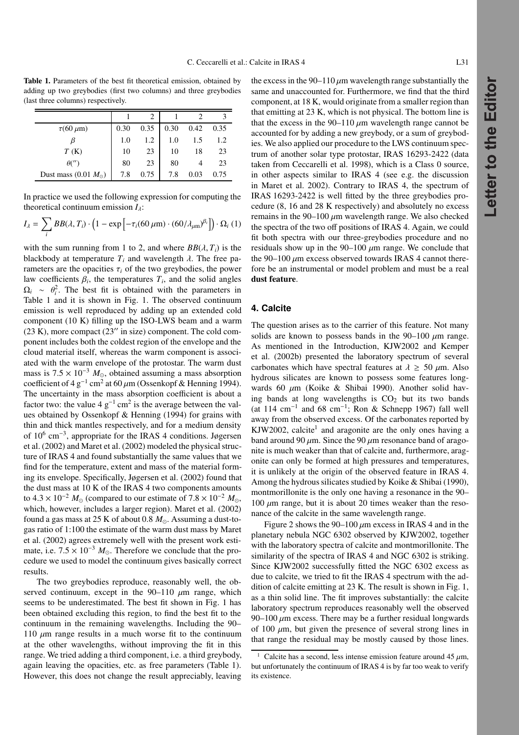Table 1. Parameters of the best fit theoretical emission, obtained by adding up two greybodies (first two columns) and three greybodies (last three columns) respectively.

| $\tau$ (60 $\mu$ m)           | 0.30 | 0.35 | 0.30 | 0.42 | 0.35 |
|-------------------------------|------|------|------|------|------|
|                               | 1.0  | 1.2  | 1.0  | 1.5  | 1.2  |
| T(K)                          | 10   | 23   | 10   | 18   | 23   |
| $\theta$ ('')                 | 80   | 23   | 80   |      | 23   |
| Dust mass (0.01 $M_{\odot}$ ) | 7.8  | 0.75 | 7.8  | 0.03 | 0.75 |

In practice we used the following expression for computing the theoretical continuum emission  $I_{\lambda}$ :

$$
I_{\lambda} = \sum_{i} BB(\lambda, T_i) \cdot \left(1 - \exp\left[-\tau_i(60 \,\mu\text{m}) \cdot (60/\lambda_{\mu\text{m}})^{\beta_i}\right]\right) \cdot \Omega_i \ (1)
$$

with the sum running from 1 to 2, and where  $BB(\lambda, T_i)$  is the blackbody at temperature  $T_i$  and wavelength  $\lambda$ . The free parameters are the opacities  $\tau_i$  of the two greybodies, the power law coefficients  $\beta_i$ , the temperatures  $T_i$ , and the solid angles  $\Omega_i \sim \theta_i^2$ . The best fit is obtained with the parameters in Table 1 and it is shown in Fig. 1. The observed continuum emission is well reproduced by adding up an extended cold component (10 K) filling up the ISO-LWS beam and a warm  $(23 K)$ , more compact  $(23''$  in size) component. The cold component includes both the coldest region of the envelope and the cloud material itself, whereas the warm component is associated with the warm envelope of the protostar. The warm dust mass is  $7.5 \times 10^{-3}$   $M_{\odot}$ , obtained assuming a mass absorption coefficient of 4 g<sup>-1</sup> cm<sup>2</sup> at 60  $\mu$ m (Ossenkopf & Henning 1994). The uncertainty in the mass absorption coefficient is about a factor two: the value 4  $g^{-1}$  cm<sup>2</sup> is the average between the values obtained by Ossenkopf & Henning (1994) for grains with thin and thick mantles respectively, and for a medium density of 10<sup>6</sup> cm−3, appropriate for the IRAS 4 conditions. Jøgersen et al. (2002) and Maret et al. (2002) modeled the physical structure of IRAS 4 and found substantially the same values that we find for the temperature, extent and mass of the material forming its envelope. Specifically, Jøgersen et al. (2002) found that the dust mass at 10 K of the IRAS 4 two components amounts to  $4.3 \times 10^{-2}$  *M*<sub>o</sub> (compared to our estimate of  $7.8 \times 10^{-2}$  *M*<sub>o</sub>, which, however, includes a larger region). Maret et al. (2002) found a gas mass at 25 K of about 0.8  $M_{\odot}$ . Assuming a dust-togas ratio of 1:100 the estimate of the warm dust mass by Maret et al. (2002) agrees extremely well with the present work estimate, i.e.  $7.5 \times 10^{-3}$   $M_{\odot}$ . Therefore we conclude that the procedure we used to model the continuum gives basically correct results.

The two greybodies reproduce, reasonably well, the observed continuum, except in the  $90-110 \mu m$  range, which seems to be underestimated. The best fit shown in Fig. 1 has been obtained excluding this region, to find the best fit to the continuum in the remaining wavelengths. Including the 90– 110  $\mu$ m range results in a much worse fit to the continuum at the other wavelengths, without improving the fit in this range. We tried adding a third component, i.e. a third greybody, again leaving the opacities, etc. as free parameters (Table 1). However, this does not change the result appreciably, leaving

the excess in the 90–110  $\mu$ m wavelength range substantially the same and unaccounted for. Furthermore, we find that the third component, at 18 K, would originate from a smaller region than that emitting at 23 K, which is not physical. The bottom line is that the excess in the  $90-110 \mu m$  wavelength range cannot be accounted for by adding a new greybody, or a sum of greybodies. We also applied our procedure to the LWS continuum spectrum of another solar type protostar, IRAS 16293-2422 (data taken from Ceccarelli et al. 1998), which is a Class 0 source, in other aspects similar to IRAS 4 (see e.g. the discussion in Maret et al. 2002). Contrary to IRAS 4, the spectrum of IRAS 16293-2422 is well fitted by the three greybodies procedure (8, 16 and 28 K respectively) and absolutely no excess remains in the 90–100  $\mu$ m wavelength range. We also checked the spectra of the two off positions of IRAS 4. Again, we could fit both spectra with our three-greybodies procedure and no residuals show up in the  $90-100 \mu m$  range. We conclude that the 90–100  $\mu$ m excess observed towards IRAS 4 cannot therefore be an instrumental or model problem and must be a real dust feature.

#### **4. Calcite**

The question arises as to the carrier of this feature. Not many solids are known to possess bands in the  $90-100 \mu m$  range. As mentioned in the Introduction, KJW2002 and Kemper et al. (2002b) presented the laboratory spectrum of several carbonates which have spectral features at  $\lambda \geq 50 \ \mu \text{m}$ . Also hydrous silicates are known to possess some features longwards 60  $\mu$ m (Koike & Shibai 1990). Another solid having bands at long wavelengths is  $CO<sub>2</sub>$  but its two bands (at 114 cm<sup>-1</sup> and 68 cm<sup>-1</sup>; Ron & Schnepp 1967) fall well away from the observed excess. Of the carbonates reported by KJW2002, calcite<sup>1</sup> and aragonite are the only ones having a band around 90  $\mu$ m. Since the 90  $\mu$ m resonance band of aragonite is much weaker than that of calcite and, furthermore, aragonite can only be formed at high pressures and temperatures, it is unlikely at the origin of the observed feature in IRAS 4. Among the hydrous silicates studied by Koike & Shibai (1990), montmorillonite is the only one having a resonance in the 90–  $100 \ \mu m$  range, but it is about 20 times weaker than the resonance of the calcite in the same wavelength range.

Figure 2 shows the 90–100  $\mu$ m excess in IRAS 4 and in the planetary nebula NGC 6302 observed by KJW2002, together with the laboratory spectra of calcite and montmorillonite. The similarity of the spectra of IRAS 4 and NGC 6302 is striking. Since KJW2002 successfully fitted the NGC 6302 excess as due to calcite, we tried to fit the IRAS 4 spectrum with the addition of calcite emitting at 23 K. The result is shown in Fig. 1, as a thin solid line. The fit improves substantially: the calcite laboratory spectrum reproduces reasonably well the observed 90–100  $\mu$ m excess. There may be a further residual longwards of 100  $\mu$ m, but given the presence of several strong lines in that range the residual may be mostly caused by those lines.

Calcite has a second, less intense emission feature around 45  $\mu$ m, but unfortunately the continuum of IRAS 4 is by far too weak to verify its existence.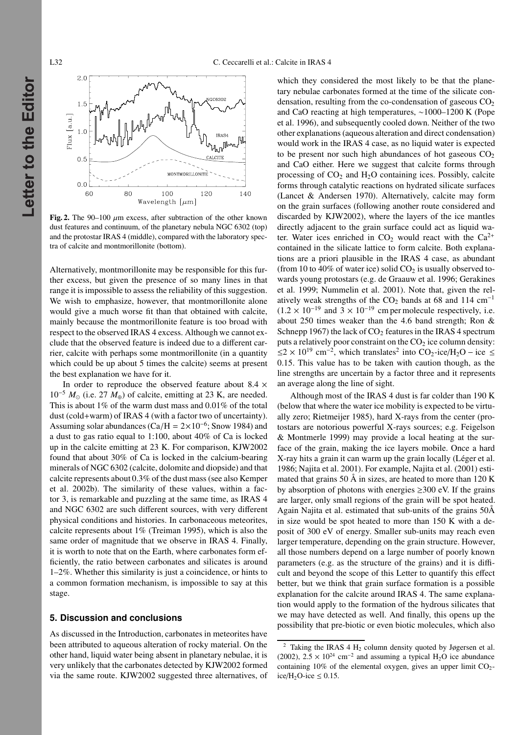

Fig. 2. The 90–100  $\mu$ m excess, after subtraction of the other known dust features and continuum, of the planetary nebula NGC 6302 (top) and the protostar IRAS 4 (middle), compared with the laboratory spectra of calcite and montmorillonite (bottom).

Alternatively, montmorillonite may be responsible for this further excess, but given the presence of so many lines in that range it is impossible to assess the reliability of this suggestion. We wish to emphasize, however, that montmorillonite alone would give a much worse fit than that obtained with calcite, mainly because the montmorillonite feature is too broad with respect to the observed IRAS 4 excess. Although we cannot exclude that the observed feature is indeed due to a different carrier, calcite with perhaps some montmorillonite (in a quantity which could be up about 5 times the calcite) seems at present the best explanation we have for it.

In order to reproduce the observed feature about 8.4  $\times$ 10−<sup>5</sup> *M* (i.e. 27 *M*⊕) of calcite, emitting at 23 K, are needed. This is about 1% of the warm dust mass and 0.01% of the total dust (cold+warm) of IRAS 4 (with a factor two of uncertainty). Assuming solar abundances (Ca/H =  $2 \times 10^{-6}$ ; Snow 1984) and a dust to gas ratio equal to 1:100, about 40% of Ca is locked up in the calcite emitting at 23 K. For comparison, KJW2002 found that about 30% of Ca is locked in the calcium-bearing minerals of NGC 6302 (calcite, dolomite and diopside) and that calcite represents about 0.3% of the dust mass (see also Kemper et al. 2002b). The similarity of these values, within a factor 3, is remarkable and puzzling at the same time, as IRAS 4 and NGC 6302 are such different sources, with very different physical conditions and histories. In carbonaceous meteorites, calcite represents about 1% (Treiman 1995), which is also the same order of magnitude that we observe in IRAS 4. Finally, it is worth to note that on the Earth, where carbonates form efficiently, the ratio between carbonates and silicates is around 1–2%. Whether this similarity is just a coincidence, or hints to a common formation mechanism, is impossible to say at this stage.

### **5. Discussion and conclusions**

As discussed in the Introduction, carbonates in meteorites have been attributed to aqueous alteration of rocky material. On the other hand, liquid water being absent in planetary nebulae, it is very unlikely that the carbonates detected by KJW2002 formed via the same route. KJW2002 suggested three alternatives, of which they considered the most likely to be that the planetary nebulae carbonates formed at the time of the silicate condensation, resulting from the co-condensation of gaseous  $CO<sub>2</sub>$ and CaO reacting at high temperatures, ∼1000–1200 K (Pope et al. 1996), and subsequently cooled down. Neither of the two other explanations (aqueous alteration and direct condensation) would work in the IRAS 4 case, as no liquid water is expected to be present nor such high abundances of hot gaseous  $CO<sub>2</sub>$ and CaO either. Here we suggest that calcite forms through processing of  $CO<sub>2</sub>$  and  $H<sub>2</sub>O$  containing ices. Possibly, calcite forms through catalytic reactions on hydrated silicate surfaces (Lancet & Andersen 1970). Alternatively, calcite may form on the grain surfaces (following another route considered and discarded by KJW2002), where the layers of the ice mantles directly adjacent to the grain surface could act as liquid water. Water ices enriched in  $CO<sub>2</sub>$  would react with the  $Ca<sup>2+</sup>$ contained in the silicate lattice to form calcite. Both explanations are a priori plausible in the IRAS 4 case, as abundant (from 10 to 40% of water ice) solid  $CO<sub>2</sub>$  is usually observed towards young protostars (e.g. de Graauw et al. 1996; Gerakines et al. 1999; Nummelin et al. 2001). Note that, given the relatively weak strengths of the  $CO<sub>2</sub>$  bands at 68 and 114 cm<sup>-1</sup>  $(1.2 \times 10^{-19}$  and  $3 \times 10^{-19}$  cm per molecule respectively, i.e. about 250 times weaker than the 4.6 band strength; Ron & Schnepp 1967) the lack of  $CO<sub>2</sub>$  features in the IRAS 4 spectrum puts a relatively poor constraint on the  $CO<sub>2</sub>$  ice column density:  $\leq$  2 × 10<sup>19</sup> cm<sup>-2</sup>, which translates<sup>2</sup> into CO<sub>2</sub>-ice/H<sub>2</sub>O – ice ≤ 0.15. This value has to be taken with caution though, as the line strengths are uncertain by a factor three and it represents an average along the line of sight.

Although most of the IRAS 4 dust is far colder than 190 K (below that where the water ice mobility is expected to be virtually zero; Rietmeijer 1985), hard X-rays from the center (protostars are notorious powerful X-rays sources; e.g. Feigelson & Montmerle 1999) may provide a local heating at the surface of the grain, making the ice layers mobile. Once a hard X-ray hits a grain it can warm up the grain locally (Léger et al. 1986; Najita et al. 2001). For example, Najita et al. (2001) estimated that grains 50 Å in sizes, are heated to more than 120 K by absorption of photons with energies  $\geq$ 300 eV. If the grains are larger, only small regions of the grain will be spot heated. Again Najita et al. estimated that sub-units of the grains 50Å in size would be spot heated to more than 150 K with a deposit of 300 eV of energy. Smaller sub-units may reach even larger temperature, depending on the grain structure. However, all those numbers depend on a large number of poorly known parameters (e.g. as the structure of the grains) and it is difficult and beyond the scope of this Letter to quantify this effect better, but we think that grain surface formation is a possible explanation for the calcite around IRAS 4. The same explanation would apply to the formation of the hydrous silicates that we may have detected as well. And finally, this opens up the possibility that pre-biotic or even biotic molecules, which also

<sup>&</sup>lt;sup>2</sup> Taking the IRAS 4 H<sub>2</sub> column density quoted by Jøgersen et al. (2002),  $2.5 \times 10^{24}$  cm<sup>-2</sup> and assuming a typical H<sub>2</sub>O ice abundance containing 10% of the elemental oxygen, gives an upper limit  $CO<sub>2</sub>$ ice/H<sub>2</sub>O-ice  $\leq$  0.15.